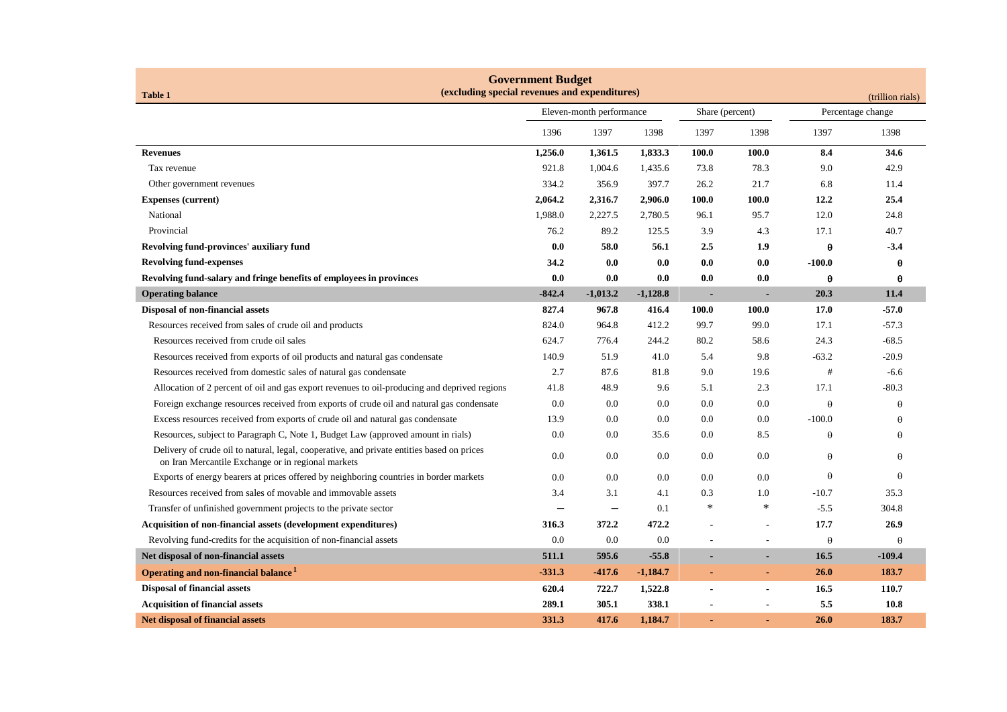| <b>Government Budget</b><br>(excluding special revenues and expenditures)<br><b>Table 1</b><br>(trillion rials)                                  |                          |                          |            |                          |        |                   |          |
|--------------------------------------------------------------------------------------------------------------------------------------------------|--------------------------|--------------------------|------------|--------------------------|--------|-------------------|----------|
|                                                                                                                                                  | Eleven-month performance |                          |            | Share (percent)          |        | Percentage change |          |
|                                                                                                                                                  | 1396                     | 1397                     | 1398       | 1397                     | 1398   | 1397              | 1398     |
| <b>Revenues</b>                                                                                                                                  | 1,256.0                  | 1,361.5                  | 1,833.3    | 100.0                    | 100.0  | 8.4               | 34.6     |
| Tax revenue                                                                                                                                      | 921.8                    | 1,004.6                  | 1,435.6    | 73.8                     | 78.3   | 9.0               | 42.9     |
| Other government revenues                                                                                                                        | 334.2                    | 356.9                    | 397.7      | 26.2                     | 21.7   | 6.8               | 11.4     |
| <b>Expenses (current)</b>                                                                                                                        | 2,064.2                  | 2,316.7                  | 2,906.0    | 100.0                    | 100.0  | 12.2              | 25.4     |
| National                                                                                                                                         | 1,988.0                  | 2,227.5                  | 2,780.5    | 96.1                     | 95.7   | 12.0              | 24.8     |
| Provincial                                                                                                                                       | 76.2                     | 89.2                     | 125.5      | 3.9                      | 4.3    | 17.1              | 40.7     |
| Revolving fund-provinces' auxiliary fund                                                                                                         | 0.0                      | 58.0                     | 56.1       | 2.5                      | 1.9    | $\pmb{\theta}$    | $-3.4$   |
| <b>Revolving fund-expenses</b>                                                                                                                   | 34.2                     | 0.0                      | 0.0        | 0.0                      | 0.0    | $-100.0$          | θ        |
| Revolving fund-salary and fringe benefits of employees in provinces                                                                              | 0.0                      | 0.0                      | 0.0        | 0.0                      | 0.0    | $\theta$          | θ        |
| <b>Operating balance</b>                                                                                                                         | $-842.4$                 | $-1,013.2$               | $-1,128.8$ | $\blacksquare$           |        | 20.3              | 11.4     |
| Disposal of non-financial assets                                                                                                                 | 827.4                    | 967.8                    | 416.4      | 100.0                    | 100.0  | 17.0              | $-57.0$  |
| Resources received from sales of crude oil and products                                                                                          | 824.0                    | 964.8                    | 412.2      | 99.7                     | 99.0   | 17.1              | $-57.3$  |
| Resources received from crude oil sales                                                                                                          | 624.7                    | 776.4                    | 244.2      | 80.2                     | 58.6   | 24.3              | $-68.5$  |
| Resources received from exports of oil products and natural gas condensate                                                                       | 140.9                    | 51.9                     | 41.0       | 5.4                      | 9.8    | $-63.2$           | $-20.9$  |
| Resources received from domestic sales of natural gas condensate                                                                                 | 2.7                      | 87.6                     | 81.8       | 9.0                      | 19.6   | #                 | $-6.6$   |
| Allocation of 2 percent of oil and gas export revenues to oil-producing and deprived regions                                                     | 41.8                     | 48.9                     | 9.6        | 5.1                      | 2.3    | 17.1              | $-80.3$  |
| Foreign exchange resources received from exports of crude oil and natural gas condensate                                                         | 0.0                      | 0.0                      | 0.0        | 0.0                      | 0.0    | $\theta$          | $\theta$ |
| Excess resources received from exports of crude oil and natural gas condensate                                                                   | 13.9                     | 0.0                      | 0.0        | $0.0\,$                  | 0.0    | $-100.0$          | $\theta$ |
| Resources, subject to Paragraph C, Note 1, Budget Law (approved amount in rials)                                                                 | 0.0                      | $0.0\,$                  | 35.6       | $0.0\,$                  | 8.5    | $\theta$          | θ        |
| Delivery of crude oil to natural, legal, cooperative, and private entities based on prices<br>on Iran Mercantile Exchange or in regional markets | 0.0                      | 0.0                      | 0.0        | 0.0                      | 0.0    | $\theta$          | $\theta$ |
| Exports of energy bearers at prices offered by neighboring countries in border markets                                                           | 0.0                      | 0.0                      | 0.0        | 0.0                      | 0.0    | $\theta$          | $\theta$ |
| Resources received from sales of movable and immovable assets                                                                                    | 3.4                      | 3.1                      | 4.1        | 0.3                      | 1.0    | $-10.7$           | 35.3     |
| Transfer of unfinished government projects to the private sector                                                                                 |                          | $\overline{\phantom{0}}$ | 0.1        | $\ast$                   | $\ast$ | $-5.5$            | 304.8    |
| <b>Acquisition of non-financial assets (development expenditures)</b>                                                                            | 316.3                    | 372.2                    | 472.2      |                          |        | 17.7              | 26.9     |
| Revolving fund-credits for the acquisition of non-financial assets                                                                               | 0.0                      | 0.0                      | 0.0        | $\overline{a}$           |        | $\theta$          | $\theta$ |
| Net disposal of non-financial assets                                                                                                             | 511.1                    | 595.6                    | $-55.8$    |                          |        | 16.5              | $-109.4$ |
| Operating and non-financial balance <sup>1</sup>                                                                                                 | $-331.3$                 | $-417.6$                 | $-1,184.7$ | ٠                        |        | 26.0              | 183.7    |
| <b>Disposal of financial assets</b>                                                                                                              | 620.4                    | 722.7                    | 1,522.8    | $\overline{\phantom{a}}$ |        | 16.5              | 110.7    |
| <b>Acquisition of financial assets</b>                                                                                                           | 289.1                    | 305.1                    | 338.1      |                          |        | 5.5               | 10.8     |
| <b>Net disposal of financial assets</b>                                                                                                          | 331.3                    | 417.6                    | 1,184.7    |                          |        | 26.0              | 183.7    |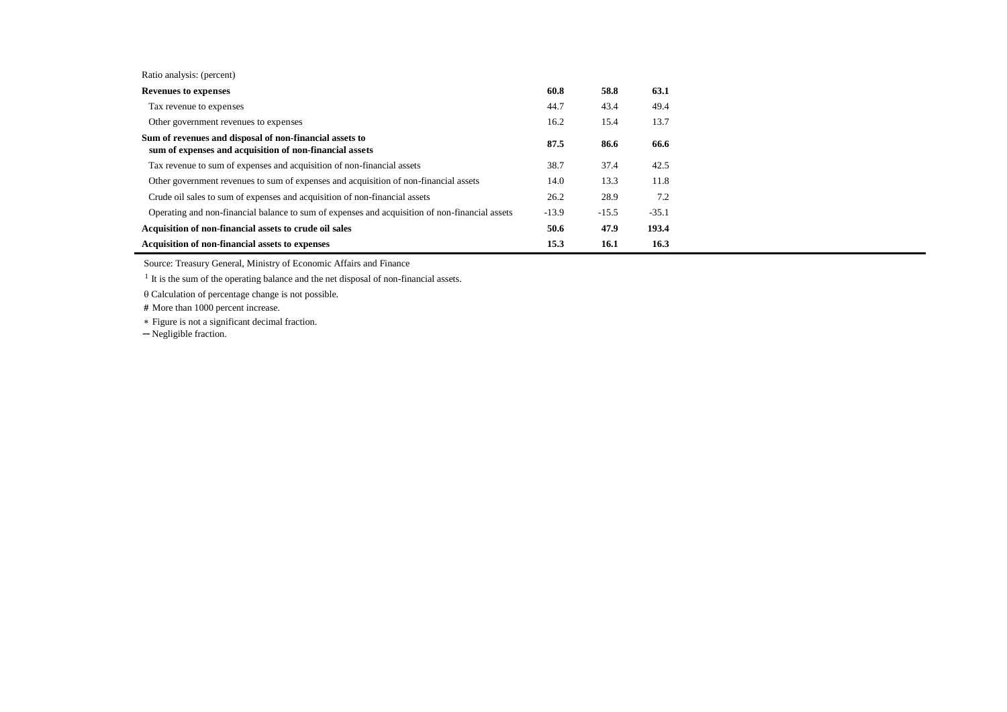| Ratio analysis: (percent) |  |
|---------------------------|--|
|---------------------------|--|

| <b>Revenues to expenses</b>                                                                                        | 60.8    | 58.8    | 63.1    |
|--------------------------------------------------------------------------------------------------------------------|---------|---------|---------|
| Tax revenue to expenses                                                                                            | 44.7    | 43.4    | 49.4    |
| Other government revenues to expenses                                                                              | 16.2    | 15.4    | 13.7    |
| Sum of revenues and disposal of non-financial assets to<br>sum of expenses and acquisition of non-financial assets | 87.5    | 86.6    | 66.6    |
| Tax revenue to sum of expenses and acquisition of non-financial assets                                             | 38.7    | 37.4    | 42.5    |
| Other government revenues to sum of expenses and acquisition of non-financial assets                               | 14.0    | 13.3    | 11.8    |
| Crude oil sales to sum of expenses and acquisition of non-financial assets                                         | 26.2    | 28.9    | 7.2     |
| Operating and non-financial balance to sum of expenses and acquisition of non-financial assets                     | $-13.9$ | $-15.5$ | $-35.1$ |
| Acquisition of non-financial assets to crude oil sales                                                             | 50.6    | 47.9    | 193.4   |
| <b>Acquisition of non-financial assets to expenses</b>                                                             | 15.3    | 16.1    | 16.3    |

Source: Treasury General, Ministry of Economic Affairs and Finance

<sup>1</sup> It is the sum of the operating balance and the net disposal of non-financial assets.

 $\theta$  Calculation of percentage change is not possible.

 **#** More than 1000 percent increase.

Figure is not a significant decimal fraction.

─ Negligible fraction.